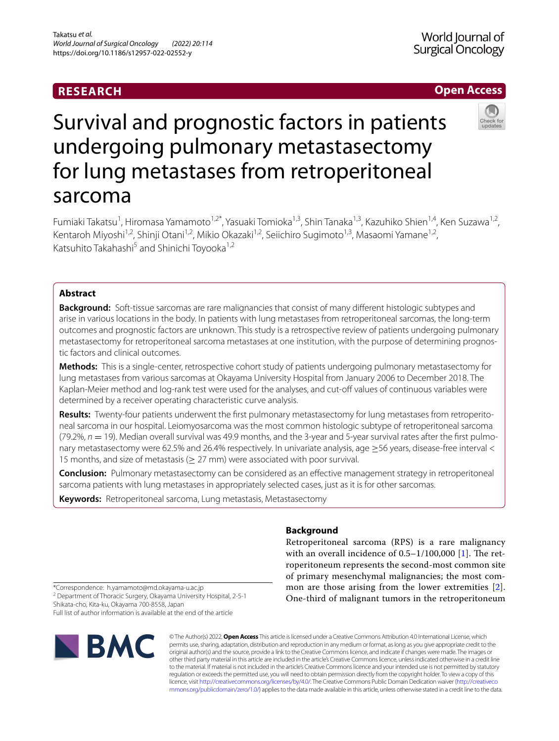## **RESEARCH**



# Survival and prognostic factors in patients undergoing pulmonary metastasectomy for lung metastases from retroperitoneal sarcoma

Fumiaki Takatsu<sup>1</sup>, Hiromasa Yamamoto<sup>1,2\*</sup>, Yasuaki Tomioka<sup>1,3</sup>, Shin Tanaka<sup>1,3</sup>, Kazuhiko Shien<sup>1,4</sup>, Ken Suzawa<sup>1,2</sup>, Kentaroh Miyoshi<sup>1,2</sup>, Shinji Otani<sup>1,2</sup>, Mikio Okazaki<sup>1,2</sup>, Seiichiro Sugimoto<sup>1,3</sup>, Masaomi Yamane<sup>1,2</sup>, Katsuhito Takahashi<sup>5</sup> and Shinichi Toyooka<sup>1,2</sup>

## **Abstract**

**Background:** Soft-tissue sarcomas are rare malignancies that consist of many diferent histologic subtypes and arise in various locations in the body. In patients with lung metastases from retroperitoneal sarcomas, the long-term outcomes and prognostic factors are unknown. This study is a retrospective review of patients undergoing pulmonary metastasectomy for retroperitoneal sarcoma metastases at one institution, with the purpose of determining prognostic factors and clinical outcomes.

**Methods:** This is a single-center, retrospective cohort study of patients undergoing pulmonary metastasectomy for lung metastases from various sarcomas at Okayama University Hospital from January 2006 to December 2018. The Kaplan-Meier method and log-rank test were used for the analyses, and cut-of values of continuous variables were determined by a receiver operating characteristic curve analysis.

**Results:** Twenty-four patients underwent the frst pulmonary metastasectomy for lung metastases from retroperitoneal sarcoma in our hospital. Leiomyosarcoma was the most common histologic subtype of retroperitoneal sarcoma  $(79.2\%, n = 19)$ . Median overall survival was 49.9 months, and the 3-year and 5-year survival rates after the first pulmonary metastasectomy were 62.5% and 26.4% respectively. In univariate analysis, age ≥56 years, disease-free interval < 15 months, and size of metastasis ( $\geq$  27 mm) were associated with poor survival.

**Conclusion:** Pulmonary metastasectomy can be considered as an efective management strategy in retroperitoneal sarcoma patients with lung metastases in appropriately selected cases, just as it is for other sarcomas.

**Keywords:** Retroperitoneal sarcoma, Lung metastasis, Metastasectomy

## **Background**

Retroperitoneal sarcoma (RPS) is a rare malignancy with an overall incidence of  $0.5-1/100,000$  [\[1](#page-5-0)]. The retroperitoneum represents the second-most common site of primary mesenchymal malignancies; the most common are those arising from the lower extremities [[2](#page-5-1)]. One-third of malignant tumors in the retroperitoneum

\*Correspondence: h.yamamoto@md.okayama-u.ac.jp <sup>2</sup> Department of Thoracic Surgery, Okayama University Hospital, 2-5-1

Shikata-cho, Kita-ku, Okayama 700-8558, Japan Full list of author information is available at the end of the article



© The Author(s) 2022. **Open Access** This article is licensed under a Creative Commons Attribution 4.0 International License, which permits use, sharing, adaptation, distribution and reproduction in any medium or format, as long as you give appropriate credit to the original author(s) and the source, provide a link to the Creative Commons licence, and indicate if changes were made. The images or other third party material in this article are included in the article's Creative Commons licence, unless indicated otherwise in a credit line to the material. If material is not included in the article's Creative Commons licence and your intended use is not permitted by statutory regulation or exceeds the permitted use, you will need to obtain permission directly from the copyright holder. To view a copy of this licence, visit [http://creativecommons.org/licenses/by/4.0/.](http://creativecommons.org/licenses/by/4.0/) The Creative Commons Public Domain Dedication waiver ([http://creativeco](http://creativecommons.org/publicdomain/zero/1.0/) [mmons.org/publicdomain/zero/1.0/](http://creativecommons.org/publicdomain/zero/1.0/)) applies to the data made available in this article, unless otherwise stated in a credit line to the data.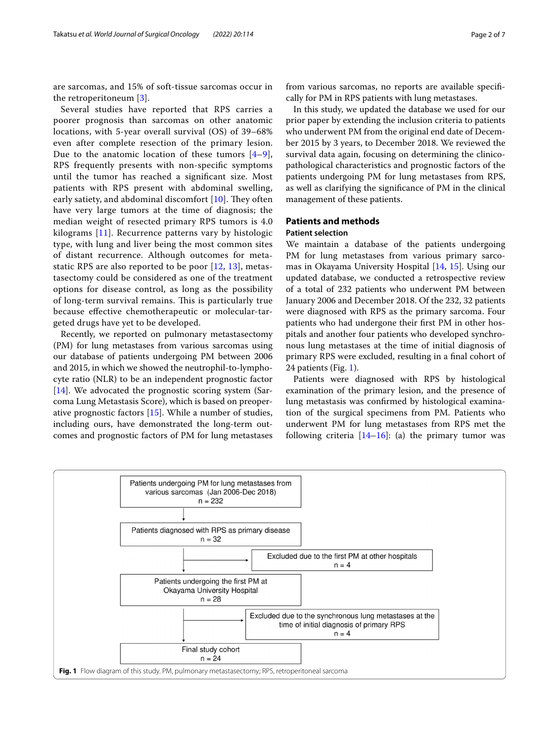are sarcomas, and 15% of soft-tissue sarcomas occur in the retroperitoneum [[3\]](#page-5-2).

Several studies have reported that RPS carries a poorer prognosis than sarcomas on other anatomic locations, with 5-year overall survival (OS) of 39–68% even after complete resection of the primary lesion. Due to the anatomic location of these tumors  $[4-9]$  $[4-9]$ , RPS frequently presents with non-specifc symptoms until the tumor has reached a signifcant size. Most patients with RPS present with abdominal swelling, early satiety, and abdominal discomfort  $[10]$  $[10]$ . They often have very large tumors at the time of diagnosis; the median weight of resected primary RPS tumors is 4.0 kilograms [\[11](#page-5-6)]. Recurrence patterns vary by histologic type, with lung and liver being the most common sites of distant recurrence. Although outcomes for metastatic RPS are also reported to be poor  $[12, 13]$  $[12, 13]$  $[12, 13]$  $[12, 13]$  $[12, 13]$ , metastasectomy could be considered as one of the treatment options for disease control, as long as the possibility of long-term survival remains. This is particularly true because efective chemotherapeutic or molecular-targeted drugs have yet to be developed.

Recently, we reported on pulmonary metastasectomy (PM) for lung metastases from various sarcomas using our database of patients undergoing PM between 2006 and 2015, in which we showed the neutrophil-to-lymphocyte ratio (NLR) to be an independent prognostic factor [[14\]](#page-6-1). We advocated the prognostic scoring system (Sarcoma Lung Metastasis Score), which is based on preoperative prognostic factors [[15](#page-6-2)]. While a number of studies, including ours, have demonstrated the long-term outcomes and prognostic factors of PM for lung metastases from various sarcomas, no reports are available specifcally for PM in RPS patients with lung metastases.

In this study, we updated the database we used for our prior paper by extending the inclusion criteria to patients who underwent PM from the original end date of December 2015 by 3 years, to December 2018. We reviewed the survival data again, focusing on determining the clinicopathological characteristics and prognostic factors of the patients undergoing PM for lung metastases from RPS, as well as clarifying the signifcance of PM in the clinical management of these patients.

## **Patients and methods**

## **Patient selection**

We maintain a database of the patients undergoing PM for lung metastases from various primary sarcomas in Okayama University Hospital [[14,](#page-6-1) [15\]](#page-6-2). Using our updated database, we conducted a retrospective review of a total of 232 patients who underwent PM between January 2006 and December 2018. Of the 232, 32 patients were diagnosed with RPS as the primary sarcoma. Four patients who had undergone their frst PM in other hospitals and another four patients who developed synchronous lung metastases at the time of initial diagnosis of primary RPS were excluded, resulting in a fnal cohort of 24 patients (Fig. [1\)](#page-1-0).

Patients were diagnosed with RPS by histological examination of the primary lesion, and the presence of lung metastasis was confrmed by histological examination of the surgical specimens from PM. Patients who underwent PM for lung metastases from RPS met the following criteria  $[14–16]$  $[14–16]$ : (a) the primary tumor was

<span id="page-1-0"></span>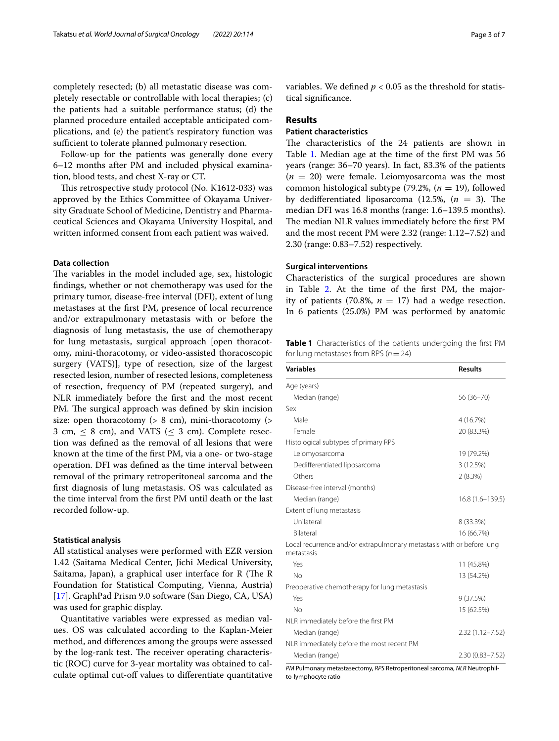completely resected; (b) all metastatic disease was completely resectable or controllable with local therapies; (c) the patients had a suitable performance status; (d) the planned procedure entailed acceptable anticipated complications, and (e) the patient's respiratory function was sufficient to tolerate planned pulmonary resection.

Follow-up for the patients was generally done every 6–12 months after PM and included physical examination, blood tests, and chest X-ray or CT.

This retrospective study protocol (No. K1612-033) was approved by the Ethics Committee of Okayama University Graduate School of Medicine, Dentistry and Pharmaceutical Sciences and Okayama University Hospital, and written informed consent from each patient was waived.

## **Data collection**

The variables in the model included age, sex, histologic fndings, whether or not chemotherapy was used for the primary tumor, disease-free interval (DFI), extent of lung metastases at the frst PM, presence of local recurrence and/or extrapulmonary metastasis with or before the diagnosis of lung metastasis, the use of chemotherapy for lung metastasis, surgical approach [open thoracotomy, mini-thoracotomy, or video-assisted thoracoscopic surgery (VATS)], type of resection, size of the largest resected lesion, number of resected lesions, completeness of resection, frequency of PM (repeated surgery), and NLR immediately before the frst and the most recent PM. The surgical approach was defined by skin incision size: open thoracotomy  $($  > 8 cm), mini-thoracotomy  $($  > 3 cm,  $\leq$  8 cm), and VATS ( $\leq$  3 cm). Complete resection was defned as the removal of all lesions that were known at the time of the frst PM, via a one- or two-stage operation. DFI was defned as the time interval between removal of the primary retroperitoneal sarcoma and the frst diagnosis of lung metastasis. OS was calculated as the time interval from the frst PM until death or the last recorded follow-up.

## **Statistical analysis**

All statistical analyses were performed with EZR version 1.42 (Saitama Medical Center, Jichi Medical University, Saitama, Japan), a graphical user interface for  $R$  (The  $R$ Foundation for Statistical Computing, Vienna, Austria) [[17\]](#page-6-4). GraphPad Prism 9.0 software (San Diego, CA, USA) was used for graphic display.

Quantitative variables were expressed as median values. OS was calculated according to the Kaplan-Meier method, and diferences among the groups were assessed by the log-rank test. The receiver operating characteristic (ROC) curve for 3-year mortality was obtained to calculate optimal cut-off values to differentiate quantitative variables. We defined  $p < 0.05$  as the threshold for statistical signifcance.

## **Results**

## **Patient characteristics**

The characteristics of the 24 patients are shown in Table [1](#page-2-0). Median age at the time of the frst PM was 56 years (range: 36–70 years). In fact, 83.3% of the patients  $(n = 20)$  were female. Leiomyosarcoma was the most common histological subtype (79.2%, (*n* = 19), followed by dedifferentiated liposarcoma  $(12.5\%, (n = 3))$ . The median DFI was 16.8 months (range: 1.6–139.5 months). The median NLR values immediately before the first PM and the most recent PM were 2.32 (range: 1.12–7.52) and 2.30 (range: 0.83–7.52) respectively.

## **Surgical interventions**

Characteristics of the surgical procedures are shown in Table [2.](#page-3-0) At the time of the frst PM, the majority of patients (70.8%,  $n = 17$ ) had a wedge resection. In 6 patients (25.0%) PM was performed by anatomic

<span id="page-2-0"></span>**Table 1** Characteristics of the patients undergoing the frst PM for lung metastases from RPS (*n*=24)

| <b>Variables</b>                                                                    | <b>Results</b>      |
|-------------------------------------------------------------------------------------|---------------------|
| Age (years)                                                                         |                     |
| Median (range)                                                                      | $56(36 - 70)$       |
| Sex                                                                                 |                     |
| Male                                                                                | 4 (16.7%)           |
| Female                                                                              | 20 (83.3%)          |
| Histological subtypes of primary RPS                                                |                     |
| Leiomyosarcoma                                                                      | 19 (79.2%)          |
| Dedifferentiated liposarcoma                                                        | 3(12.5%)            |
| Others                                                                              | 2(8.3%)             |
| Disease-free interval (months)                                                      |                     |
| Median (range)                                                                      | $16.8(1.6 - 139.5)$ |
| Extent of lung metastasis                                                           |                     |
| Unilateral                                                                          | 8 (33.3%)           |
| <b>Bilateral</b>                                                                    | 16 (66.7%)          |
| Local recurrence and/or extrapulmonary metastasis with or before lung<br>metastasis |                     |
| Yes                                                                                 | 11 (45.8%)          |
| No                                                                                  | 13 (54.2%)          |
| Preoperative chemotherapy for lung metastasis                                       |                     |
| Yes                                                                                 | 9(37.5%)            |
| No                                                                                  | 15 (62.5%)          |
| NLR immediately before the first PM                                                 |                     |
| Median (range)                                                                      | $2.32(1.12 - 7.52)$ |
| NLR immediately before the most recent PM                                           |                     |
| Median (range)                                                                      | $2.30(0.83 - 7.52)$ |

*PM* Pulmonary metastasectomy, *RPS* Retroperitoneal sarcoma, *NLR* Neutrophilto-lymphocyte ratio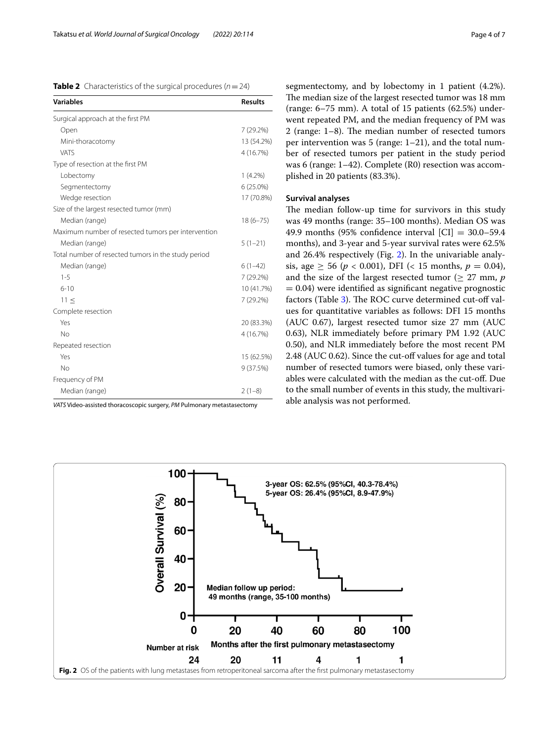<span id="page-3-0"></span>

|  | <b>Table 2</b> Characteristics of the surgical procedures ( $n = 24$ ) |  |  |  |  |
|--|------------------------------------------------------------------------|--|--|--|--|
|--|------------------------------------------------------------------------|--|--|--|--|

| <b>Variables</b>                                    | <b>Results</b> |
|-----------------------------------------------------|----------------|
| Surgical approach at the first PM                   |                |
| Open                                                | 7 (29.2%)      |
| Mini-thoracotomy                                    | 13 (54.2%)     |
| VATS                                                | 4 (16.7%)      |
| Type of resection at the first PM                   |                |
| Lobectomy                                           | $1(4.2\%)$     |
| Segmentectomy                                       | 6 (25.0%)      |
| Wedge resection                                     | 17 (70.8%)     |
| Size of the largest resected tumor (mm)             |                |
| Median (range)                                      | $18(6 - 75)$   |
| Maximum number of resected tumors per intervention  |                |
| Median (range)                                      | $5(1-21)$      |
| Total number of resected tumors in the study period |                |
| Median (range)                                      | $6(1-42)$      |
| $1 - 5$                                             | 7 (29.2%)      |
| $6 - 10$                                            | 10 (41.7%)     |
| $11 \le$                                            | 7 (29.2%)      |
| Complete resection                                  |                |
| Yes                                                 | 20 (83.3%)     |
| No                                                  | 4 (16.7%)      |
| Repeated resection                                  |                |
| Yes                                                 | 15 (62.5%)     |
| No                                                  | 9(37.5%)       |
| Frequency of PM                                     |                |
| Median (range)                                      | $2(1-8)$       |

*VATS* Video-assisted thoracoscopic surgery, *PM* Pulmonary metastasectomy

segmentectomy, and by lobectomy in 1 patient (4.2%). The median size of the largest resected tumor was 18 mm (range: 6–75 mm). A total of 15 patients (62.5%) underwent repeated PM, and the median frequency of PM was 2 (range:  $1-8$ ). The median number of resected tumors per intervention was 5 (range: 1–21), and the total number of resected tumors per patient in the study period was 6 (range: 1–42). Complete (R0) resection was accomplished in 20 patients (83.3%).

## **Survival analyses**

The median follow-up time for survivors in this study was 49 months (range: 35–100 months). Median OS was 49.9 months (95% confidence interval  $|CI| = 30.0 - 59.4$ months), and 3-year and 5-year survival rates were 62.5% and 26.4% respectively (Fig. [2\)](#page-3-1). In the univariable analysis, age  $\geq$  56 ( $p$  < 0.001), DFI (< 15 months,  $p = 0.04$ ), and the size of the largest resected tumor ( $\geq$  27 mm, *p*  $= 0.04$ ) were identified as significant negative prognostic factors (Table [3](#page-4-0)). The ROC curve determined cut-off values for quantitative variables as follows: DFI 15 months (AUC 0.67), largest resected tumor size 27 mm (AUC 0.63), NLR immediately before primary PM 1.92 (AUC 0.50), and NLR immediately before the most recent PM 2.48 (AUC 0.62). Since the cut-off values for age and total number of resected tumors were biased, only these variables were calculated with the median as the cut-of. Due to the small number of events in this study, the multivariable analysis was not performed.

<span id="page-3-1"></span>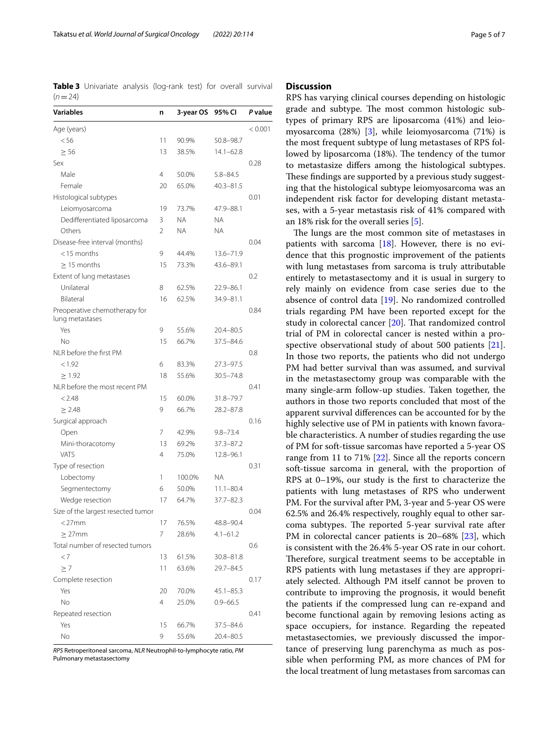<span id="page-4-0"></span>**Table 3** Univariate analysis (log-rank test) for overall survival  $(n=24)$ 

| Variables                                        | n              | 3-year OS | 95% CI        | P value |
|--------------------------------------------------|----------------|-----------|---------------|---------|
| Age (years)                                      |                |           |               | < 0.001 |
| < 56                                             | 11             | 90.9%     | 50.8-98.7     |         |
| $\geq 56$                                        | 13             | 38.5%     | $14.1 - 62.8$ |         |
| Sex                                              |                |           |               | 0.28    |
| Male                                             | 4              | 50.0%     | $5.8 - 84.5$  |         |
| Female                                           | 20             | 65.0%     | $40.3 - 81.5$ |         |
| Histological subtypes                            |                |           |               | 0.01    |
| Leiomyosarcoma                                   | 19             | 73.7%     | 47.9-88.1     |         |
| Dedifferentiated liposarcoma                     | 3              | NA        | NA.           |         |
| Others                                           | $\overline{2}$ | NA        | <b>NA</b>     |         |
| Disease-free interval (months)                   |                |           |               | 0.04    |
| $<$ 15 months                                    | 9              | 44.4%     | 13.6-71.9     |         |
| $\geq$ 15 months                                 | 15             | 73.3%     | 43.6-89.1     |         |
| Extent of lung metastases                        |                |           |               | 0.2     |
| Unilateral                                       | 8              | 62.5%     | $22.9 - 86.1$ |         |
| Bilateral                                        | 16             | 62.5%     | 34.9-81.1     |         |
| Preoperative chemotherapy for<br>lung metastases |                |           |               | 0.84    |
| Yes                                              | 9              | 55.6%     | 20.4-80.5     |         |
| No                                               | 15             | 66.7%     | $37.5 - 84.6$ |         |
| NLR before the first PM                          |                |           |               | 0.8     |
| < 1.92                                           | 6              | 83.3%     | $27.3 - 97.5$ |         |
| > 1.92                                           | 18             | 55.6%     | $30.5 - 74.8$ |         |
| NLR before the most recent PM                    |                |           |               | 0.41    |
| < 2.48                                           | 15             | 60.0%     | 31.8-79.7     |         |
| $\geq 2.48$                                      | 9              | 66.7%     | $28.2 - 87.8$ |         |
| Surgical approach                                |                |           |               | 0.16    |
| Open                                             | 7              | 42.9%     | $9.8 - 73.4$  |         |
| Mini-thoracotomy                                 | 13             | 69.2%     | $37.3 - 87.2$ |         |
| <b>VATS</b>                                      | 4              | 75.0%     | 12.8-96.1     |         |
| Type of resection                                |                |           |               | 0.31    |
| Lobectomy                                        | 1              | 100.0%    | ΝA            |         |
| Segmentectomy                                    | 6              | 50.0%     | $11.1 - 80.4$ |         |
| Wedge resection                                  | 17             | 64.7%     | $37.7 - 82.3$ |         |
| Size of the largest resected tumor               |                |           |               | 0.04    |
| $<$ 27 $mm$                                      | 17             | 76.5%     | 48.8-90.4     |         |
| $\geq$ 27mm                                      | 7              | 28.6%     | $4.1 - 61.2$  |         |
| Total number of resected tumors                  |                |           |               | 0.6     |
| $\langle 7$                                      | 13             | 61.5%     | 30.8-81.8     |         |
| $\geq 7$                                         | 11             | 63.6%     | 29.7-84.5     |         |
| Complete resection                               |                |           |               | 0.17    |
| Yes                                              | 20             | 70.0%     | $45.1 - 85.3$ |         |
| No                                               | 4              | 25.0%     | $0.9 - 66.5$  |         |
| Repeated resection                               |                |           |               | 0.41    |
| Yes                                              | 15             | 66.7%     | 37.5-84.6     |         |
| No                                               | 9              | 55.6%     | 20.4-80.5     |         |

*RPS* Retroperitoneal sarcoma, *NLR* Neutrophil-to-lymphocyte ratio, *PM* Pulmonary metastasectomy

## **Discussion**

RPS has varying clinical courses depending on histologic grade and subtype. The most common histologic subtypes of primary RPS are liposarcoma (41%) and leiomyosarcoma (28%) [[3\]](#page-5-2), while leiomyosarcoma (71%) is the most frequent subtype of lung metastases of RPS followed by liposarcoma (18%). The tendency of the tumor to metastasize difers among the histological subtypes. These findings are supported by a previous study suggesting that the histological subtype leiomyosarcoma was an independent risk factor for developing distant metastases, with a 5-year metastasis risk of 41% compared with an 18% risk for the overall series [\[5](#page-5-8)].

The lungs are the most common site of metastases in patients with sarcoma [\[18](#page-6-5)]. However, there is no evidence that this prognostic improvement of the patients with lung metastases from sarcoma is truly attributable entirely to metastasectomy and it is usual in surgery to rely mainly on evidence from case series due to the absence of control data [\[19\]](#page-6-6). No randomized controlled trials regarding PM have been reported except for the study in colorectal cancer [\[20\]](#page-6-7). That randomized control trial of PM in colorectal cancer is nested within a prospective observational study of about 500 patients [\[21](#page-6-8)]. In those two reports, the patients who did not undergo PM had better survival than was assumed, and survival in the metastasectomy group was comparable with the many single-arm follow-up studies. Taken together, the authors in those two reports concluded that most of the apparent survival diferences can be accounted for by the highly selective use of PM in patients with known favorable characteristics. A number of studies regarding the use of PM for soft-tissue sarcomas have reported a 5-year OS range from 11 to 71% [[22\]](#page-6-9). Since all the reports concern soft-tissue sarcoma in general, with the proportion of RPS at 0–19%, our study is the frst to characterize the patients with lung metastases of RPS who underwent PM. For the survival after PM, 3-year and 5-year OS were 62.5% and 26.4% respectively, roughly equal to other sarcoma subtypes. The reported 5-year survival rate after PM in colorectal cancer patients is 20–68% [[23\]](#page-6-10), which is consistent with the 26.4% 5-year OS rate in our cohort. Therefore, surgical treatment seems to be acceptable in RPS patients with lung metastases if they are appropriately selected. Although PM itself cannot be proven to contribute to improving the prognosis, it would beneft the patients if the compressed lung can re-expand and become functional again by removing lesions acting as space occupiers, for instance. Regarding the repeated metastasectomies, we previously discussed the importance of preserving lung parenchyma as much as possible when performing PM, as more chances of PM for the local treatment of lung metastases from sarcomas can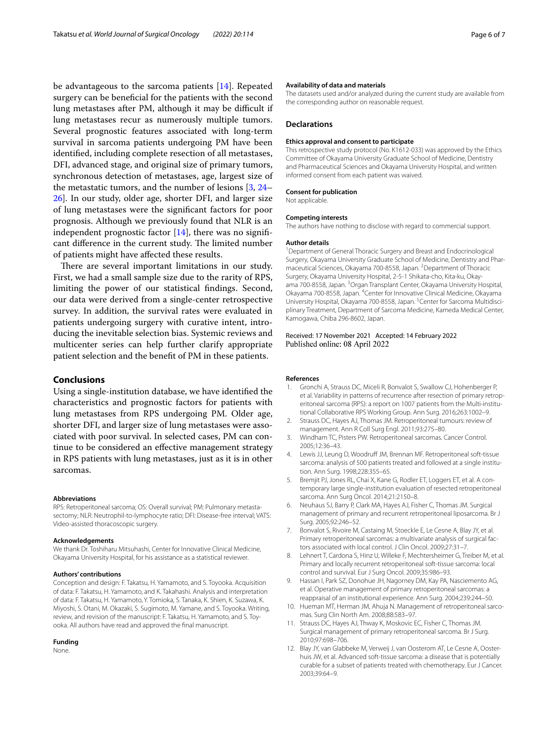be advantageous to the sarcoma patients [[14\]](#page-6-1). Repeated surgery can be benefcial for the patients with the second lung metastases after PM, although it may be difficult if lung metastases recur as numerously multiple tumors. Several prognostic features associated with long-term survival in sarcoma patients undergoing PM have been identifed, including complete resection of all metastases, DFI, advanced stage, and original size of primary tumors, synchronous detection of metastases, age, largest size of the metastatic tumors, and the number of lesions [\[3,](#page-5-2) [24–](#page-6-11) [26\]](#page-6-12). In our study, older age, shorter DFI, and larger size of lung metastases were the signifcant factors for poor prognosis. Although we previously found that NLR is an independent prognostic factor  $[14]$ , there was no significant difference in the current study. The limited number of patients might have afected these results.

There are several important limitations in our study. First, we had a small sample size due to the rarity of RPS, limiting the power of our statistical fndings. Second, our data were derived from a single-center retrospective survey. In addition, the survival rates were evaluated in patients undergoing surgery with curative intent, introducing the inevitable selection bias. Systemic reviews and multicenter series can help further clarify appropriate patient selection and the beneft of PM in these patients.

## **Conclusions**

Using a single-institution database, we have identifed the characteristics and prognostic factors for patients with lung metastases from RPS undergoing PM. Older age, shorter DFI, and larger size of lung metastases were associated with poor survival. In selected cases, PM can continue to be considered an efective management strategy in RPS patients with lung metastases, just as it is in other sarcomas.

#### **Abbreviations**

RPS: Retroperitoneal sarcoma; OS: Overall survival; PM: Pulmonary metastasectomy; NLR: Neutrophil-to-lymphocyte ratio; DFI: Disease-free interval; VATS: Video-assisted thoracoscopic surgery.

#### **Acknowledgements**

We thank Dr. Toshiharu Mitsuhashi, Center for Innovative Clinical Medicine, Okayama University Hospital, for his assistance as a statistical reviewer.

#### **Authors' contributions**

Conception and design: F. Takatsu, H. Yamamoto, and S. Toyooka. Acquisition of data: F. Takatsu, H. Yamamoto, and K. Takahashi. Analysis and interpretation of data: F. Takatsu, H. Yamamoto, Y. Tomioka, S. Tanaka, K. Shien, K. Suzawa, K. Miyoshi, S. Otani, M. Okazaki, S. Sugimoto, M. Yamane, and S. Toyooka. Writing, review, and revision of the manuscript: F. Takatsu, H. Yamamoto, and S. Toyooka. All authors have read and approved the fnal manuscript.

#### **Funding**

None.

#### **Availability of data and materials**

The datasets used and/or analyzed during the current study are available from the corresponding author on reasonable request.

#### **Declarations**

#### **Ethics approval and consent to participate**

This retrospective study protocol (No. K1612-033) was approved by the Ethics Committee of Okayama University Graduate School of Medicine, Dentistry and Pharmaceutical Sciences and Okayama University Hospital, and written informed consent from each patient was waived.

#### **Consent for publication**

Not applicable.

#### **Competing interests**

The authors have nothing to disclose with regard to commercial support.

#### **Author details**

<sup>1</sup> Department of General Thoracic Surgery and Breast and Endocrinological Surgery, Okayama University Graduate School of Medicine, Dentistry and Pharmaceutical Sciences, Okayama 700-8558, Japan. <sup>2</sup> Department of Thoracic Surgery, Okayama University Hospital, 2-5-1 Shikata-cho, Kita-ku, Okayama 700-8558, Japan. <sup>3</sup>Organ Transplant Center, Okayama University Hospital, Okayama 700-8558, Japan. <sup>4</sup> Center for Innovative Clinical Medicine, Okayama University Hospital, Okayama 700-8558, Japan. <sup>5</sup> Center for Sarcoma Multidisciplinary Treatment, Department of Sarcoma Medicine, Kameda Medical Center, Kamogawa, Chiba 296-8602, Japan.

## Received: 17 November 2021 Accepted: 14 February 2022 Published online: 08 April 2022

#### **References**

- <span id="page-5-0"></span>1. Gronchi A, Strauss DC, Miceli R, Bonvalot S, Swallow CJ, Hohenberger P, et al. Variability in patterns of recurrence after resection of primary retroperitoneal sarcoma (RPS): a report on 1007 patients from the Multi-institutional Collaborative RPS Working Group. Ann Surg. 2016;263:1002–9.
- <span id="page-5-1"></span>2. Strauss DC, Hayes AJ, Thomas JM. Retroperitoneal tumours: review of management. Ann R Coll Surg Engl. 2011;93:275–80.
- <span id="page-5-2"></span>3. Windham TC, Pisters PW. Retroperitoneal sarcomas. Cancer Control. 2005;12:36–43.
- <span id="page-5-3"></span>4. Lewis JJ, Leung D, Woodruf JM, Brennan MF. Retroperitoneal soft-tissue sarcoma: analysis of 500 patients treated and followed at a single institution. Ann Surg. 1998;228:355–65.
- <span id="page-5-8"></span>5. Bremjit PJ, Jones RL, Chai X, Kane G, Rodler ET, Loggers ET, et al. A contemporary large single-institution evaluation of resected retroperitoneal sarcoma. Ann Surg Oncol. 2014;21:2150–8.
- 6. Neuhaus SJ, Barry P, Clark MA, Hayes AJ, Fisher C, Thomas JM. Surgical management of primary and recurrent retroperitoneal liposarcoma. Br J Surg. 2005;92:246–52.
- 7. Bonvalot S, Rivoire M, Castaing M, Stoeckle E, Le Cesne A, Blay JY, et al. Primary retroperitoneal sarcomas: a multivariate analysis of surgical factors associated with local control. J Clin Oncol. 2009;27:31–7.
- 8. Lehnert T, Cardona S, Hinz U, Willeke F, Mechtersheimer G, Treiber M, et al. Primary and locally recurrent retroperitoneal soft-tissue sarcoma: local control and survival. Eur J Surg Oncol. 2009;35:986–93.
- <span id="page-5-4"></span>9. Hassan I, Park SZ, Donohue JH, Nagorney DM, Kay PA, Nasciemento AG, et al. Operative management of primary retroperitoneal sarcomas: a reappraisal of an institutional experience. Ann Surg. 2004;239:244–50.
- <span id="page-5-5"></span>10. Hueman MT, Herman JM, Ahuja N. Management of retroperitoneal sarcomas. Surg Clin North Am. 2008;88:583–97.
- <span id="page-5-6"></span>11. Strauss DC, Hayes AJ, Thway K, Moskovic EC, Fisher C, Thomas JM. Surgical management of primary retroperitoneal sarcoma. Br J Surg. 2010;97:698–706.
- <span id="page-5-7"></span>12. Blay JY, van Glabbeke M, Verweij J, van Oosterom AT, Le Cesne A, Oosterhuis JW, et al. Advanced soft-tissue sarcoma: a disease that is potentially curable for a subset of patients treated with chemotherapy. Eur J Cancer. 2003;39:64–9.